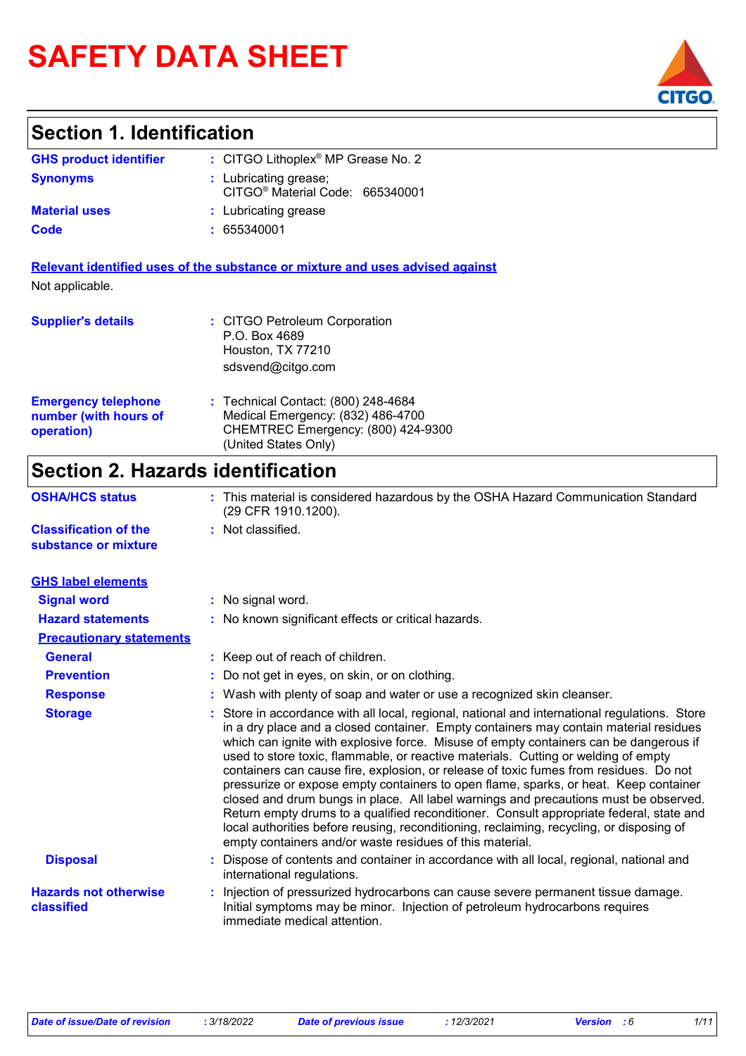# **SAFETY DATA SHEET**

## **Section 1. Identification**

| : CITGO Lithoplex <sup>®</sup> MP Grease No. 2                       |
|----------------------------------------------------------------------|
| : Lubricating grease;<br>CITGO <sup>®</sup> Material Code: 665340001 |
| : Lubricating grease                                                 |
| : 655340001                                                          |
|                                                                      |

**Relevant identified uses of the substance or mixture and uses advised against** Not applicable.

| <b>Supplier's details</b>                                         | : CITGO Petroleum Corporation<br>P.O. Box 4689<br>Houston, TX 77210<br>sdsvend@citgo.com                                               |
|-------------------------------------------------------------------|----------------------------------------------------------------------------------------------------------------------------------------|
| <b>Emergency telephone</b><br>number (with hours of<br>operation) | : Technical Contact: (800) 248-4684<br>Medical Emergency: (832) 486-4700<br>CHEMTREC Emergency: (800) 424-9300<br>(United States Only) |

## **Section 2. Hazards identification**

| <b>OSHA/HCS status</b>                               | : This material is considered hazardous by the OSHA Hazard Communication Standard<br>(29 CFR 1910.1200).                                                                                                                                                                                                                                                                                                                                                                                                                                                                                                                                                                                                                                                                                                                                                                                          |
|------------------------------------------------------|---------------------------------------------------------------------------------------------------------------------------------------------------------------------------------------------------------------------------------------------------------------------------------------------------------------------------------------------------------------------------------------------------------------------------------------------------------------------------------------------------------------------------------------------------------------------------------------------------------------------------------------------------------------------------------------------------------------------------------------------------------------------------------------------------------------------------------------------------------------------------------------------------|
| <b>Classification of the</b><br>substance or mixture | : Not classified.                                                                                                                                                                                                                                                                                                                                                                                                                                                                                                                                                                                                                                                                                                                                                                                                                                                                                 |
| <b>GHS label elements</b>                            |                                                                                                                                                                                                                                                                                                                                                                                                                                                                                                                                                                                                                                                                                                                                                                                                                                                                                                   |
| <b>Signal word</b>                                   | : No signal word.                                                                                                                                                                                                                                                                                                                                                                                                                                                                                                                                                                                                                                                                                                                                                                                                                                                                                 |
| <b>Hazard statements</b>                             | : No known significant effects or critical hazards.                                                                                                                                                                                                                                                                                                                                                                                                                                                                                                                                                                                                                                                                                                                                                                                                                                               |
| <b>Precautionary statements</b>                      |                                                                                                                                                                                                                                                                                                                                                                                                                                                                                                                                                                                                                                                                                                                                                                                                                                                                                                   |
| <b>General</b>                                       | : Keep out of reach of children.                                                                                                                                                                                                                                                                                                                                                                                                                                                                                                                                                                                                                                                                                                                                                                                                                                                                  |
| <b>Prevention</b>                                    | Do not get in eyes, on skin, or on clothing.                                                                                                                                                                                                                                                                                                                                                                                                                                                                                                                                                                                                                                                                                                                                                                                                                                                      |
| <b>Response</b>                                      | : Wash with plenty of soap and water or use a recognized skin cleanser.                                                                                                                                                                                                                                                                                                                                                                                                                                                                                                                                                                                                                                                                                                                                                                                                                           |
| <b>Storage</b>                                       | : Store in accordance with all local, regional, national and international regulations. Store<br>in a dry place and a closed container. Empty containers may contain material residues<br>which can ignite with explosive force. Misuse of empty containers can be dangerous if<br>used to store toxic, flammable, or reactive materials. Cutting or welding of empty<br>containers can cause fire, explosion, or release of toxic fumes from residues. Do not<br>pressurize or expose empty containers to open flame, sparks, or heat. Keep container<br>closed and drum bungs in place. All label warnings and precautions must be observed.<br>Return empty drums to a qualified reconditioner. Consult appropriate federal, state and<br>local authorities before reusing, reconditioning, reclaiming, recycling, or disposing of<br>empty containers and/or waste residues of this material. |
| <b>Disposal</b>                                      | Dispose of contents and container in accordance with all local, regional, national and<br>international regulations.                                                                                                                                                                                                                                                                                                                                                                                                                                                                                                                                                                                                                                                                                                                                                                              |
| <b>Hazards not otherwise</b><br>classified           | Injection of pressurized hydrocarbons can cause severe permanent tissue damage.<br>Initial symptoms may be minor. Injection of petroleum hydrocarbons requires<br>immediate medical attention.                                                                                                                                                                                                                                                                                                                                                                                                                                                                                                                                                                                                                                                                                                    |

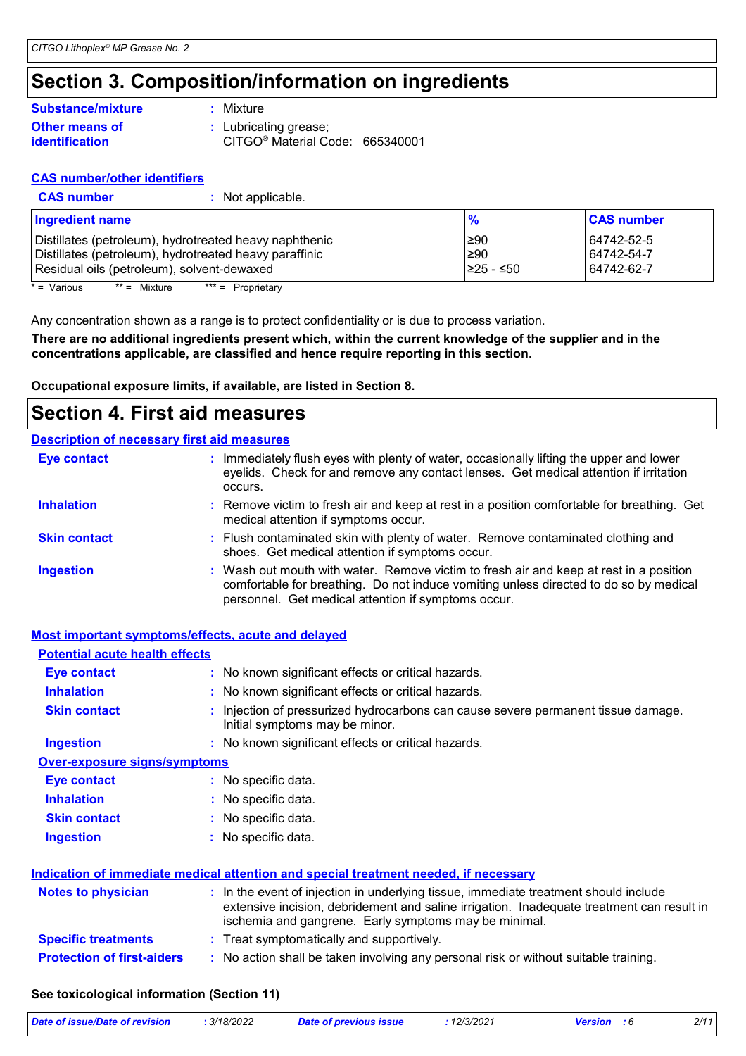## **Section 3. Composition/information on ingredients**

#### **Other means of identification Substance/mixture**

**:** Mixture

**:** Lubricating grease;

CITGO® Material Code: 665340001

### **CAS number/other identifiers**

**CAS number :** Not applicable.

| <b>Ingredient name</b>                                 |                 | <b>CAS number</b> |
|--------------------------------------------------------|-----------------|-------------------|
| Distillates (petroleum), hydrotreated heavy naphthenic | ≥90             | 64742-52-5        |
| Distillates (petroleum), hydrotreated heavy paraffinic | ≥90             | 64742-54-7        |
| Residual oils (petroleum), solvent-dewaxed             | $\geq$ 25 - ≤50 | 64742-62-7        |

 $* = \text{Various}$  \*\* = Mixture \*\*\* = Proprietary

Any concentration shown as a range is to protect confidentiality or is due to process variation.

**There are no additional ingredients present which, within the current knowledge of the supplier and in the concentrations applicable, are classified and hence require reporting in this section.**

**Occupational exposure limits, if available, are listed in Section 8.**

### **Section 4. First aid measures**

#### **Description of necessary first aid measures**

| <b>Eye contact</b>  | : Immediately flush eyes with plenty of water, occasionally lifting the upper and lower<br>eyelids. Check for and remove any contact lenses. Get medical attention if irritation<br>occurs.                                            |
|---------------------|----------------------------------------------------------------------------------------------------------------------------------------------------------------------------------------------------------------------------------------|
| <b>Inhalation</b>   | : Remove victim to fresh air and keep at rest in a position comfortable for breathing. Get<br>medical attention if symptoms occur.                                                                                                     |
| <b>Skin contact</b> | : Flush contaminated skin with plenty of water. Remove contaminated clothing and<br>shoes. Get medical attention if symptoms occur.                                                                                                    |
| <b>Ingestion</b>    | : Wash out mouth with water. Remove victim to fresh air and keep at rest in a position<br>comfortable for breathing. Do not induce vomiting unless directed to do so by medical<br>personnel. Get medical attention if symptoms occur. |

#### **Most important symptoms/effects, acute and delayed**

| <b>Potential acute health effects</b> |                                                                                                                                                                                                                                            |
|---------------------------------------|--------------------------------------------------------------------------------------------------------------------------------------------------------------------------------------------------------------------------------------------|
| Eye contact                           | : No known significant effects or critical hazards.                                                                                                                                                                                        |
| <b>Inhalation</b>                     | : No known significant effects or critical hazards.                                                                                                                                                                                        |
| <b>Skin contact</b>                   | : Injection of pressurized hydrocarbons can cause severe permanent tissue damage.<br>Initial symptoms may be minor.                                                                                                                        |
| <b>Ingestion</b>                      | : No known significant effects or critical hazards.                                                                                                                                                                                        |
| <b>Over-exposure signs/symptoms</b>   |                                                                                                                                                                                                                                            |
| Eye contact                           | : No specific data.                                                                                                                                                                                                                        |
| <b>Inhalation</b>                     | : No specific data.                                                                                                                                                                                                                        |
| <b>Skin contact</b>                   | : No specific data.                                                                                                                                                                                                                        |
| <b>Ingestion</b>                      | : No specific data.                                                                                                                                                                                                                        |
|                                       | Indication of immediate medical attention and special treatment needed, if necessary                                                                                                                                                       |
| <b>Notes to physician</b>             | : In the event of injection in underlying tissue, immediate treatment should include<br>extensive incision, debridement and saline irrigation. Inadequate treatment can result in<br>ischemia and gangrene. Early symptoms may be minimal. |
| <b>Specific treatments</b>            | : Treat symptomatically and supportively.                                                                                                                                                                                                  |
| <b>Protection of first-aiders</b>     | : No action shall be taken involving any personal risk or without suitable training.                                                                                                                                                       |

### **See toxicological information (Section 11)**

| Date of issue/Date of revision | : 3/18/2022 | Date of previous issue | 12/3/2021 | <b>Version</b><br>- | 2/11 |
|--------------------------------|-------------|------------------------|-----------|---------------------|------|
|                                |             |                        |           |                     |      |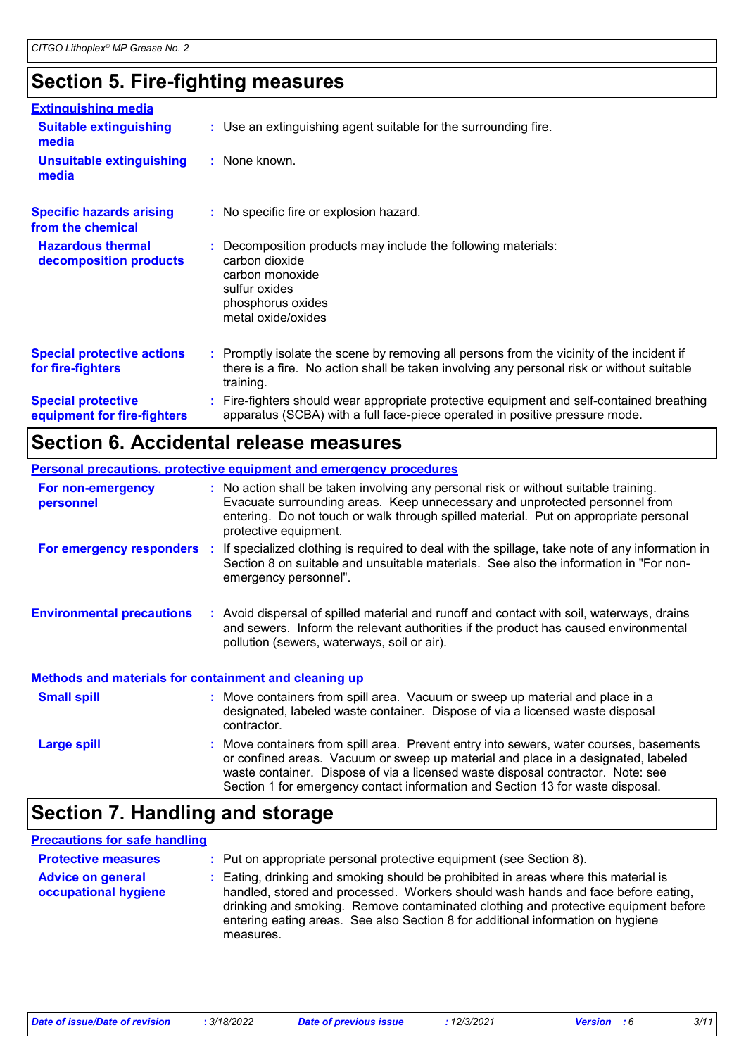## **Section 5. Fire-fighting measures**

| <b>Extinguishing media</b>                               |                                                                                                                                                                                                     |
|----------------------------------------------------------|-----------------------------------------------------------------------------------------------------------------------------------------------------------------------------------------------------|
| <b>Suitable extinguishing</b><br>media                   | : Use an extinguishing agent suitable for the surrounding fire.                                                                                                                                     |
| <b>Unsuitable extinguishing</b><br>media                 | $:$ None known.                                                                                                                                                                                     |
| <b>Specific hazards arising</b><br>from the chemical     | : No specific fire or explosion hazard.                                                                                                                                                             |
| <b>Hazardous thermal</b><br>decomposition products       | Decomposition products may include the following materials:<br>carbon dioxide<br>carbon monoxide<br>sulfur oxides<br>phosphorus oxides<br>metal oxide/oxides                                        |
| <b>Special protective actions</b><br>for fire-fighters   | : Promptly isolate the scene by removing all persons from the vicinity of the incident if<br>there is a fire. No action shall be taken involving any personal risk or without suitable<br>training. |
| <b>Special protective</b><br>equipment for fire-fighters | Fire-fighters should wear appropriate protective equipment and self-contained breathing<br>apparatus (SCBA) with a full face-piece operated in positive pressure mode.                              |

### **Section 6. Accidental release measures**

|                                                              | <b>Personal precautions, protective equipment and emergency procedures</b>                                                                                                                                                                                                                                                                       |
|--------------------------------------------------------------|--------------------------------------------------------------------------------------------------------------------------------------------------------------------------------------------------------------------------------------------------------------------------------------------------------------------------------------------------|
| For non-emergency<br>personnel                               | : No action shall be taken involving any personal risk or without suitable training.<br>Evacuate surrounding areas. Keep unnecessary and unprotected personnel from<br>entering. Do not touch or walk through spilled material. Put on appropriate personal<br>protective equipment.                                                             |
|                                                              | For emergency responders : If specialized clothing is required to deal with the spillage, take note of any information in<br>Section 8 on suitable and unsuitable materials. See also the information in "For non-<br>emergency personnel".                                                                                                      |
| <b>Environmental precautions</b>                             | : Avoid dispersal of spilled material and runoff and contact with soil, waterways, drains<br>and sewers. Inform the relevant authorities if the product has caused environmental<br>pollution (sewers, waterways, soil or air).                                                                                                                  |
| <b>Methods and materials for containment and cleaning up</b> |                                                                                                                                                                                                                                                                                                                                                  |
| <b>Small spill</b>                                           | : Move containers from spill area. Vacuum or sweep up material and place in a<br>designated, labeled waste container. Dispose of via a licensed waste disposal<br>contractor.                                                                                                                                                                    |
| <b>Large spill</b>                                           | : Move containers from spill area. Prevent entry into sewers, water courses, basements<br>or confined areas. Vacuum or sweep up material and place in a designated, labeled<br>waste container. Dispose of via a licensed waste disposal contractor. Note: see<br>Section 1 for emergency contact information and Section 13 for waste disposal. |

### **Section 7. Handling and storage**

#### **Advice on general occupational hygiene** Eating, drinking and smoking should be prohibited in areas where this material is **:** handled, stored and processed. Workers should wash hands and face before eating, drinking and smoking. Remove contaminated clothing and protective equipment before entering eating areas. See also Section 8 for additional information on hygiene measures. **Protective measures : Put on appropriate personal protective equipment (see Section 8). Precautions for safe handling**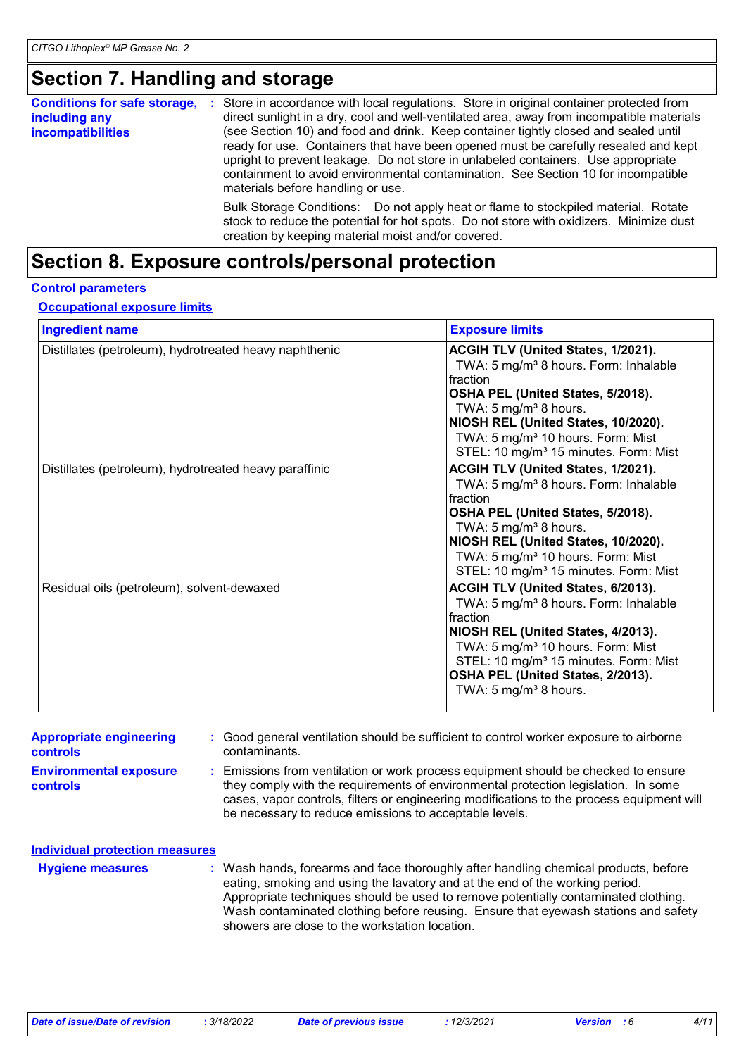## **Section 7. Handling and storage**

| <b>Conditions for safe storage,</b><br>including any<br><i>incompatibilities</i> | Store in accordance with local regulations. Store in original container protected from<br>л.<br>direct sunlight in a dry, cool and well-ventilated area, away from incompatible materials<br>(see Section 10) and food and drink. Keep container tightly closed and sealed until<br>ready for use. Containers that have been opened must be carefully resealed and kept<br>upright to prevent leakage. Do not store in unlabeled containers. Use appropriate<br>containment to avoid environmental contamination. See Section 10 for incompatible<br>materials before handling or use. |
|----------------------------------------------------------------------------------|----------------------------------------------------------------------------------------------------------------------------------------------------------------------------------------------------------------------------------------------------------------------------------------------------------------------------------------------------------------------------------------------------------------------------------------------------------------------------------------------------------------------------------------------------------------------------------------|
|                                                                                  | Bulk Storage Conditions: Do not apply heat or flame to stockpiled material. Rotate<br>stock to reduce the potential for hot spots. Do not store with oxidizers. Minimize dust<br>creation by keeping material moist and/or covered.                                                                                                                                                                                                                                                                                                                                                    |

## **Section 8. Exposure controls/personal protection**

### **Control parameters**

#### **Occupational exposure limits**

| <b>Ingredient name</b>                                 | <b>Exposure limits</b>                                                                                                                                                                                                                                                                                                     |
|--------------------------------------------------------|----------------------------------------------------------------------------------------------------------------------------------------------------------------------------------------------------------------------------------------------------------------------------------------------------------------------------|
| Distillates (petroleum), hydrotreated heavy naphthenic | ACGIH TLV (United States, 1/2021).<br>TWA: 5 mg/m <sup>3</sup> 8 hours. Form: Inhalable<br>Ifraction<br>OSHA PEL (United States, 5/2018).<br>TWA: $5 \text{ mg/m}^3$ 8 hours.<br>NIOSH REL (United States, 10/2020).<br>TWA: 5 mg/m <sup>3</sup> 10 hours. Form: Mist<br>STEL: 10 mg/m <sup>3</sup> 15 minutes. Form: Mist |
| Distillates (petroleum), hydrotreated heavy paraffinic | ACGIH TLV (United States, 1/2021).<br>TWA: 5 mg/m <sup>3</sup> 8 hours. Form: Inhalable<br>fraction<br>OSHA PEL (United States, 5/2018).<br>TWA: $5 \text{ mg/m}^3$ 8 hours.<br>NIOSH REL (United States, 10/2020).<br>TWA: 5 mg/m <sup>3</sup> 10 hours. Form: Mist<br>STEL: 10 mg/m <sup>3</sup> 15 minutes. Form: Mist  |
| Residual oils (petroleum), solvent-dewaxed             | ACGIH TLV (United States, 6/2013).<br>TWA: 5 mg/m <sup>3</sup> 8 hours. Form: Inhalable<br>fraction<br>NIOSH REL (United States, 4/2013).<br>TWA: 5 mg/m <sup>3</sup> 10 hours. Form: Mist<br>STEL: 10 mg/m <sup>3</sup> 15 minutes. Form: Mist<br>OSHA PEL (United States, 2/2013).<br>TWA: 5 mg/m <sup>3</sup> 8 hours.  |

| <b>Appropriate engineering</b><br><b>controls</b> | : Good general ventilation should be sufficient to control worker exposure to airborne<br>contaminants.                                                                                                                                                                                                                       |
|---------------------------------------------------|-------------------------------------------------------------------------------------------------------------------------------------------------------------------------------------------------------------------------------------------------------------------------------------------------------------------------------|
| <b>Environmental exposure</b><br><b>controls</b>  | Emissions from ventilation or work process equipment should be checked to ensure<br>they comply with the requirements of environmental protection legislation. In some<br>cases, vapor controls, filters or engineering modifications to the process equipment will<br>be necessary to reduce emissions to acceptable levels. |
| <b>Individual protection measures</b>             |                                                                                                                                                                                                                                                                                                                               |
| <b>Hygiene measures</b>                           | : Wash hands, forearms and face thoroughly after handling chemical products, before<br>eating, smoking and using the lavatory and at the end of the working period.<br>Appropriate techniques should be used to remove potentially contaminated clothing.                                                                     |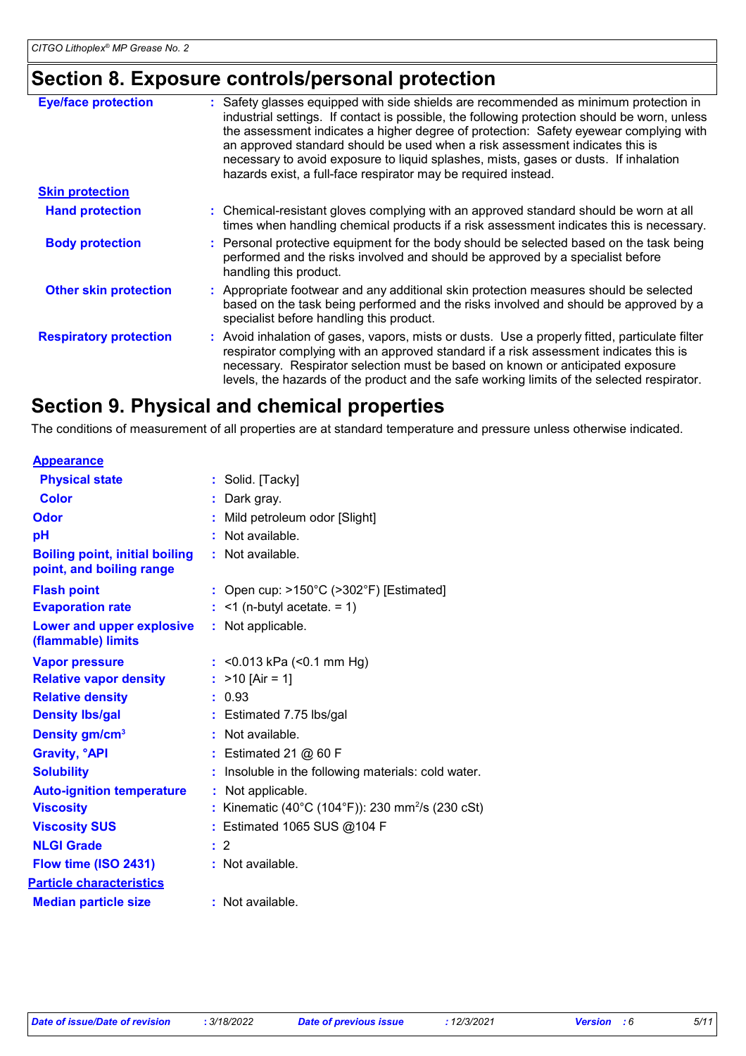## **Section 8. Exposure controls/personal protection**

| <b>Eye/face protection</b>    | : Safety glasses equipped with side shields are recommended as minimum protection in<br>industrial settings. If contact is possible, the following protection should be worn, unless<br>the assessment indicates a higher degree of protection: Safety eyewear complying with<br>an approved standard should be used when a risk assessment indicates this is<br>necessary to avoid exposure to liquid splashes, mists, gases or dusts. If inhalation<br>hazards exist, a full-face respirator may be required instead. |
|-------------------------------|-------------------------------------------------------------------------------------------------------------------------------------------------------------------------------------------------------------------------------------------------------------------------------------------------------------------------------------------------------------------------------------------------------------------------------------------------------------------------------------------------------------------------|
| <b>Skin protection</b>        |                                                                                                                                                                                                                                                                                                                                                                                                                                                                                                                         |
| <b>Hand protection</b>        | : Chemical-resistant gloves complying with an approved standard should be worn at all<br>times when handling chemical products if a risk assessment indicates this is necessary.                                                                                                                                                                                                                                                                                                                                        |
| <b>Body protection</b>        | : Personal protective equipment for the body should be selected based on the task being<br>performed and the risks involved and should be approved by a specialist before<br>handling this product.                                                                                                                                                                                                                                                                                                                     |
| <b>Other skin protection</b>  | : Appropriate footwear and any additional skin protection measures should be selected<br>based on the task being performed and the risks involved and should be approved by a<br>specialist before handling this product.                                                                                                                                                                                                                                                                                               |
| <b>Respiratory protection</b> | : Avoid inhalation of gases, vapors, mists or dusts. Use a properly fitted, particulate filter<br>respirator complying with an approved standard if a risk assessment indicates this is<br>necessary. Respirator selection must be based on known or anticipated exposure<br>levels, the hazards of the product and the safe working limits of the selected respirator.                                                                                                                                                 |
|                               |                                                                                                                                                                                                                                                                                                                                                                                                                                                                                                                         |

### **Section 9. Physical and chemical properties**

The conditions of measurement of all properties are at standard temperature and pressure unless otherwise indicated.

| <b>Appearance</b>                                                 |                                                            |
|-------------------------------------------------------------------|------------------------------------------------------------|
| <b>Physical state</b>                                             | : Solid. [Tacky]                                           |
| <b>Color</b>                                                      | Dark gray.<br>÷                                            |
| Odor                                                              | Mild petroleum odor [Slight]                               |
| pH                                                                | Not available.                                             |
| <b>Boiling point, initial boiling</b><br>point, and boiling range | Not available.                                             |
| <b>Flash point</b>                                                | Open cup: >150°C (>302°F) [Estimated]                      |
| <b>Evaporation rate</b>                                           | $\leq$ 1 (n-butyl acetate. = 1)                            |
| Lower and upper explosive<br>(flammable) limits                   | : Not applicable.                                          |
| <b>Vapor pressure</b>                                             | : < $0.013$ kPa (< $0.1$ mm Hg)                            |
| <b>Relative vapor density</b>                                     | $>10$ [Air = 1]<br>÷                                       |
| <b>Relative density</b>                                           | 0.93                                                       |
| <b>Density Ibs/gal</b>                                            | Estimated 7.75 lbs/gal                                     |
| Density gm/cm <sup>3</sup>                                        | Not available.<br>÷.                                       |
| <b>Gravity, °API</b>                                              | Estimated 21 $@$ 60 F<br>÷                                 |
| <b>Solubility</b>                                                 | Insoluble in the following materials: cold water.<br>Ì     |
| <b>Auto-ignition temperature</b>                                  | Not applicable.                                            |
| <b>Viscosity</b>                                                  | Kinematic (40°C (104°F)): 230 mm <sup>2</sup> /s (230 cSt) |
| <b>Viscosity SUS</b>                                              | Estimated 1065 SUS @104 F                                  |
| <b>NLGI Grade</b>                                                 | $\therefore$ 2                                             |
| Flow time (ISO 2431)                                              | : Not available.                                           |
| <b>Particle characteristics</b>                                   |                                                            |
| <b>Median particle size</b>                                       | : Not available.                                           |
|                                                                   |                                                            |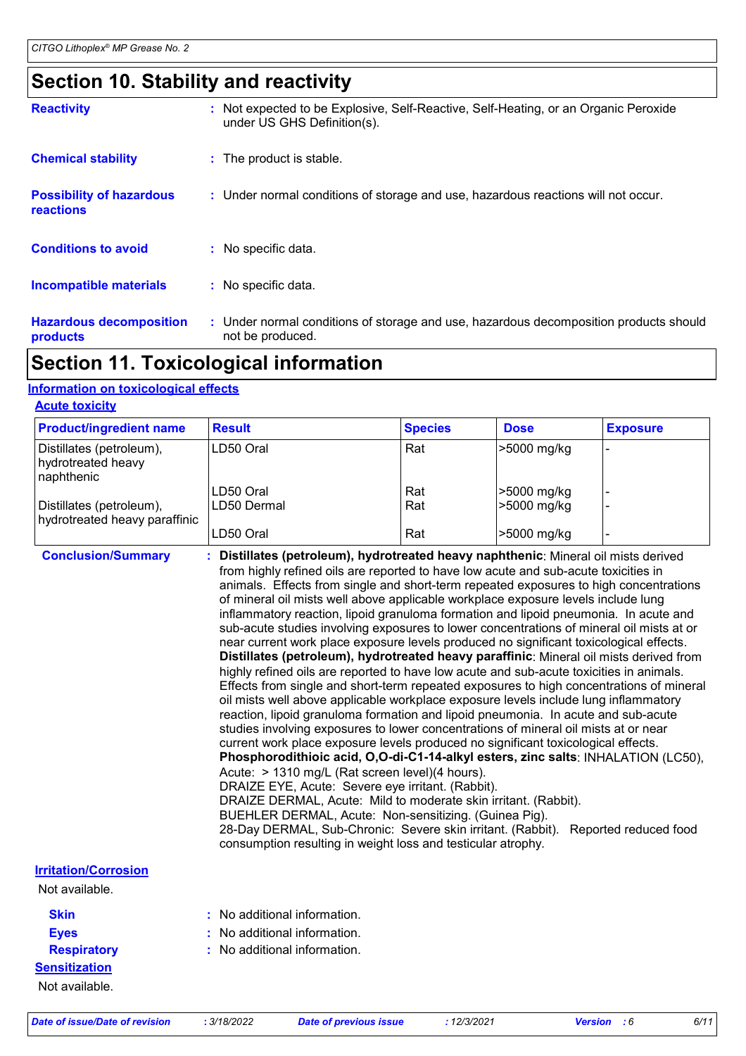## **Section 10. Stability and reactivity**

| <b>Reactivity</b>                                   | : Not expected to be Explosive, Self-Reactive, Self-Heating, or an Organic Peroxide<br>under US GHS Definition(s). |  |
|-----------------------------------------------------|--------------------------------------------------------------------------------------------------------------------|--|
| <b>Chemical stability</b>                           | : The product is stable.                                                                                           |  |
| <b>Possibility of hazardous</b><br><b>reactions</b> | : Under normal conditions of storage and use, hazardous reactions will not occur.                                  |  |
| <b>Conditions to avoid</b>                          | $:$ No specific data.                                                                                              |  |
| <b>Incompatible materials</b>                       | : No specific data.                                                                                                |  |
| <b>Hazardous decomposition</b><br>products          | : Under normal conditions of storage and use, hazardous decomposition products should<br>not be produced.          |  |

## **Section 11. Toxicological information**

### **Information on toxicological effects**

| <b>Product/ingredient name</b>                                | <b>Result</b>             | <b>Species</b> | <b>Dose</b>                | <b>Exposure</b> |
|---------------------------------------------------------------|---------------------------|----------------|----------------------------|-----------------|
| Distillates (petroleum),<br>hydrotreated heavy<br>Inaphthenic | LD50 Oral                 | Rat            | >5000 mg/kg                |                 |
| Distillates (petroleum),<br>hydrotreated heavy paraffinic     | LD50 Oral<br>ILD50 Dermal | Rat<br>Rat     | >5000 mg/kg<br>>5000 mg/kg |                 |
|                                                               | LD50 Oral                 | Rat            | >5000 mg/kg                |                 |

| <b>Conclusion/Summary</b>   | : Distillates (petroleum), hydrotreated heavy naphthenic: Mineral oil mists derived<br>from highly refined oils are reported to have low acute and sub-acute toxicities in<br>animals. Effects from single and short-term repeated exposures to high concentrations<br>of mineral oil mists well above applicable workplace exposure levels include lung<br>inflammatory reaction, lipoid granuloma formation and lipoid pneumonia. In acute and<br>sub-acute studies involving exposures to lower concentrations of mineral oil mists at or<br>near current work place exposure levels produced no significant toxicological effects.<br>Distillates (petroleum), hydrotreated heavy paraffinic: Mineral oil mists derived from<br>highly refined oils are reported to have low acute and sub-acute toxicities in animals.<br>Effects from single and short-term repeated exposures to high concentrations of mineral<br>oil mists well above applicable workplace exposure levels include lung inflammatory<br>reaction, lipoid granuloma formation and lipoid pneumonia. In acute and sub-acute<br>studies involving exposures to lower concentrations of mineral oil mists at or near<br>current work place exposure levels produced no significant toxicological effects.<br>Phosphorodithioic acid, O,O-di-C1-14-alkyl esters, zinc salts: INHALATION (LC50),<br>Acute: > 1310 mg/L (Rat screen level)(4 hours).<br>DRAIZE EYE, Acute: Severe eye irritant. (Rabbit).<br>DRAIZE DERMAL, Acute: Mild to moderate skin irritant. (Rabbit).<br>BUEHLER DERMAL, Acute: Non-sensitizing. (Guinea Pig).<br>28-Day DERMAL, Sub-Chronic: Severe skin irritant. (Rabbit). Reported reduced food<br>consumption resulting in weight loss and testicular atrophy. |
|-----------------------------|--------------------------------------------------------------------------------------------------------------------------------------------------------------------------------------------------------------------------------------------------------------------------------------------------------------------------------------------------------------------------------------------------------------------------------------------------------------------------------------------------------------------------------------------------------------------------------------------------------------------------------------------------------------------------------------------------------------------------------------------------------------------------------------------------------------------------------------------------------------------------------------------------------------------------------------------------------------------------------------------------------------------------------------------------------------------------------------------------------------------------------------------------------------------------------------------------------------------------------------------------------------------------------------------------------------------------------------------------------------------------------------------------------------------------------------------------------------------------------------------------------------------------------------------------------------------------------------------------------------------------------------------------------------------------------------------------------------------------------------------------------------|
| <b>Irritation/Corrosion</b> |                                                                                                                                                                                                                                                                                                                                                                                                                                                                                                                                                                                                                                                                                                                                                                                                                                                                                                                                                                                                                                                                                                                                                                                                                                                                                                                                                                                                                                                                                                                                                                                                                                                                                                                                                              |
| Not available.              |                                                                                                                                                                                                                                                                                                                                                                                                                                                                                                                                                                                                                                                                                                                                                                                                                                                                                                                                                                                                                                                                                                                                                                                                                                                                                                                                                                                                                                                                                                                                                                                                                                                                                                                                                              |
| <b>Skin</b>                 | : No additional information.                                                                                                                                                                                                                                                                                                                                                                                                                                                                                                                                                                                                                                                                                                                                                                                                                                                                                                                                                                                                                                                                                                                                                                                                                                                                                                                                                                                                                                                                                                                                                                                                                                                                                                                                 |
| <b>Eyes</b>                 | : No additional information.                                                                                                                                                                                                                                                                                                                                                                                                                                                                                                                                                                                                                                                                                                                                                                                                                                                                                                                                                                                                                                                                                                                                                                                                                                                                                                                                                                                                                                                                                                                                                                                                                                                                                                                                 |

### **:** No additional information.

**Sensitization** Not available.

**Respiratory**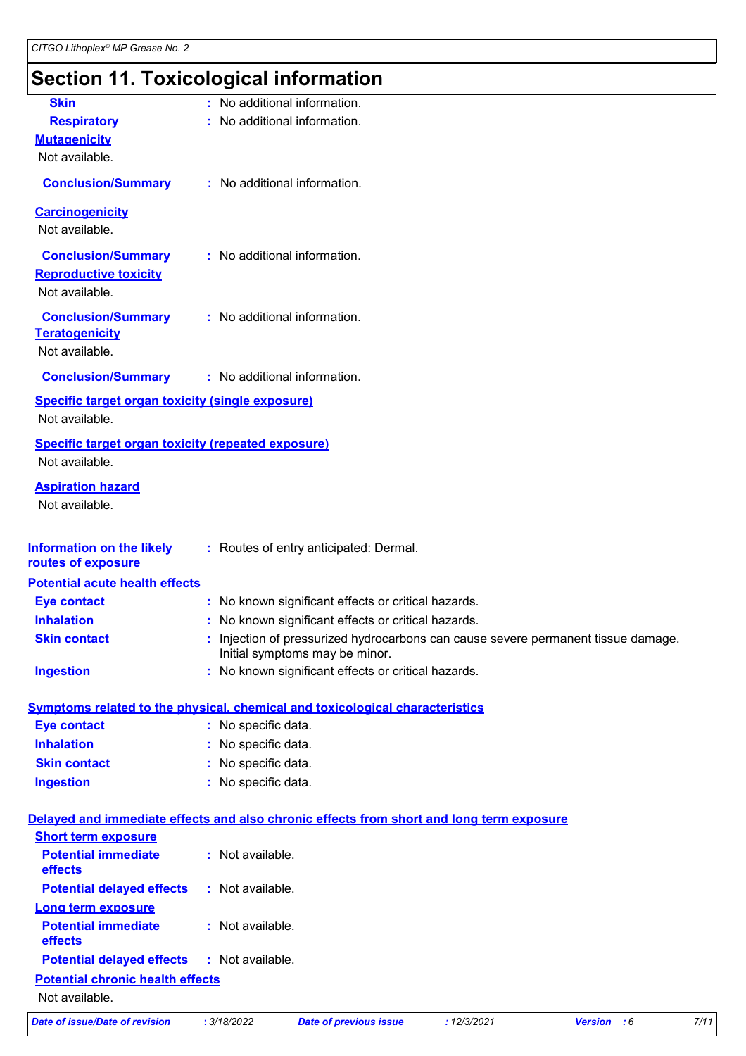## **Section 11. Toxicological information**

| <b>Skin</b>                                                                              | : No additional information. |                                                     |             |                                                                                 |      |
|------------------------------------------------------------------------------------------|------------------------------|-----------------------------------------------------|-------------|---------------------------------------------------------------------------------|------|
| <b>Respiratory</b>                                                                       | : No additional information. |                                                     |             |                                                                                 |      |
| <b>Mutagenicity</b>                                                                      |                              |                                                     |             |                                                                                 |      |
| Not available.                                                                           |                              |                                                     |             |                                                                                 |      |
| <b>Conclusion/Summary</b>                                                                | : No additional information. |                                                     |             |                                                                                 |      |
| <b>Carcinogenicity</b><br>Not available.                                                 |                              |                                                     |             |                                                                                 |      |
|                                                                                          |                              |                                                     |             |                                                                                 |      |
| <b>Conclusion/Summary</b><br><b>Reproductive toxicity</b><br>Not available.              | : No additional information. |                                                     |             |                                                                                 |      |
| <b>Conclusion/Summary</b><br><b>Teratogenicity</b><br>Not available.                     | : No additional information. |                                                     |             |                                                                                 |      |
| <b>Conclusion/Summary</b>                                                                | : No additional information. |                                                     |             |                                                                                 |      |
| Specific target organ toxicity (single exposure)<br>Not available.                       |                              |                                                     |             |                                                                                 |      |
| <b>Specific target organ toxicity (repeated exposure)</b><br>Not available.              |                              |                                                     |             |                                                                                 |      |
| <b>Aspiration hazard</b><br>Not available.                                               |                              |                                                     |             |                                                                                 |      |
| <b>Information on the likely</b><br>routes of exposure                                   |                              | : Routes of entry anticipated: Dermal.              |             |                                                                                 |      |
| <b>Potential acute health effects</b>                                                    |                              |                                                     |             |                                                                                 |      |
| <b>Eye contact</b>                                                                       |                              | : No known significant effects or critical hazards. |             |                                                                                 |      |
| <b>Inhalation</b>                                                                        |                              | No known significant effects or critical hazards.   |             |                                                                                 |      |
| <b>Skin contact</b>                                                                      |                              | Initial symptoms may be minor.                      |             | Injection of pressurized hydrocarbons can cause severe permanent tissue damage. |      |
| <b>Ingestion</b>                                                                         |                              | No known significant effects or critical hazards.   |             |                                                                                 |      |
| <b>Symptoms related to the physical, chemical and toxicological characteristics</b>      |                              |                                                     |             |                                                                                 |      |
| <b>Eye contact</b>                                                                       | : No specific data.          |                                                     |             |                                                                                 |      |
| <b>Inhalation</b>                                                                        | No specific data.            |                                                     |             |                                                                                 |      |
| <b>Skin contact</b>                                                                      | No specific data.            |                                                     |             |                                                                                 |      |
| <b>Ingestion</b>                                                                         | : No specific data.          |                                                     |             |                                                                                 |      |
| Delayed and immediate effects and also chronic effects from short and long term exposure |                              |                                                     |             |                                                                                 |      |
| <b>Short term exposure</b>                                                               |                              |                                                     |             |                                                                                 |      |
| <b>Potential immediate</b><br>effects                                                    | : Not available.             |                                                     |             |                                                                                 |      |
| <b>Potential delayed effects</b>                                                         | : Not available.             |                                                     |             |                                                                                 |      |
| <b>Long term exposure</b>                                                                |                              |                                                     |             |                                                                                 |      |
| <b>Potential immediate</b><br>effects                                                    | : Not available.             |                                                     |             |                                                                                 |      |
| <b>Potential delayed effects</b>                                                         | : Not available.             |                                                     |             |                                                                                 |      |
| <b>Potential chronic health effects</b>                                                  |                              |                                                     |             |                                                                                 |      |
| Not available.                                                                           |                              |                                                     |             |                                                                                 |      |
| <b>Date of issue/Date of revision</b>                                                    | : 3/18/2022                  | <b>Date of previous issue</b>                       | : 12/3/2021 | Version : 6                                                                     | 7/11 |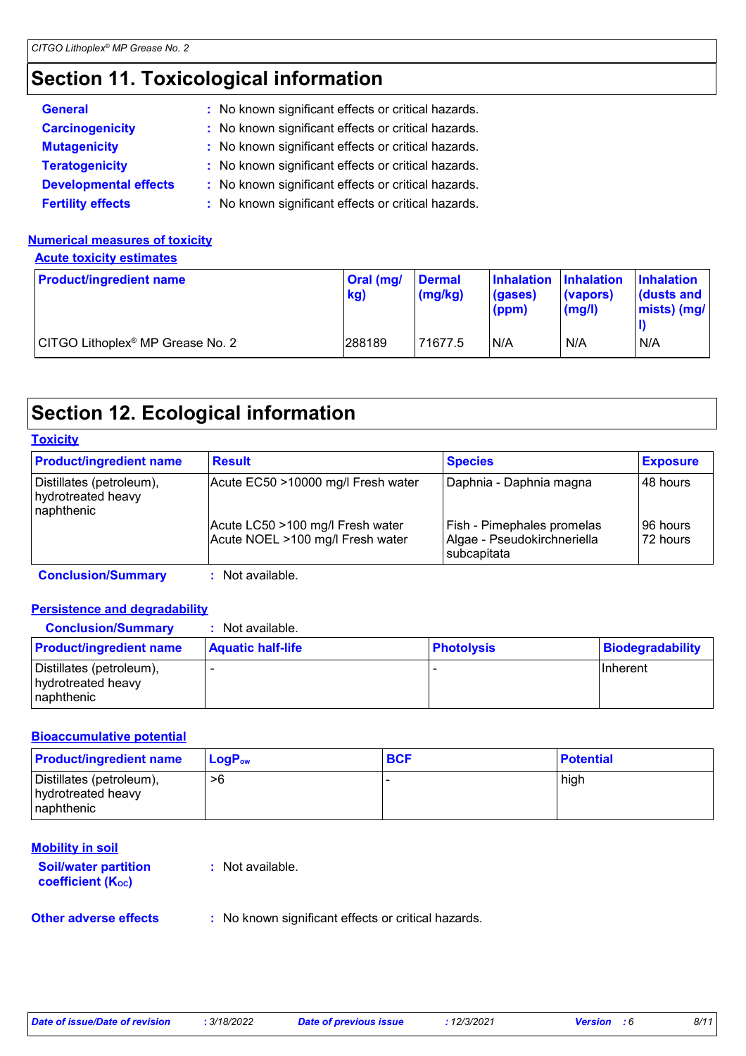## **Section 11. Toxicological information**

| <b>General</b>               | : No known significant effects or critical hazards. |
|------------------------------|-----------------------------------------------------|
| <b>Carcinogenicity</b>       | : No known significant effects or critical hazards. |
| <b>Mutagenicity</b>          | : No known significant effects or critical hazards. |
| <b>Teratogenicity</b>        | : No known significant effects or critical hazards. |
| <b>Developmental effects</b> | : No known significant effects or critical hazards. |
| <b>Fertility effects</b>     | : No known significant effects or critical hazards. |

### **Numerical measures of toxicity**

**Acute toxicity estimates**

| <b>Product/ingredient name</b>               | <b>Oral</b> (mg/<br>kg) | <b>Dermal</b><br>(mg/kg) | Inhalation Inhalation<br>(gases)<br>(ppm) | (vapors)<br>$\mathsf{mgl}()$ | <b>Inhalation</b><br>dusts and<br>$\mid$ mists) (mg/ $\mid$ |
|----------------------------------------------|-------------------------|--------------------------|-------------------------------------------|------------------------------|-------------------------------------------------------------|
| CITGO Lithoplex <sup>®</sup> MP Grease No. 2 | 288189                  | 71677.5                  | N/A                                       | N/A                          | N/A                                                         |

## **Section 12. Ecological information**

| <b>Product/ingredient name</b>                               | <b>Result</b>                                                        | <b>Species</b>                                                           | <b>Exposure</b>      |
|--------------------------------------------------------------|----------------------------------------------------------------------|--------------------------------------------------------------------------|----------------------|
| Distillates (petroleum),<br>hydrotreated heavy<br>naphthenic | Acute EC50 >10000 mg/l Fresh water                                   | Daphnia - Daphnia magna                                                  | 48 hours             |
|                                                              | Acute LC50 >100 mg/l Fresh water<br>Acute NOEL >100 mg/l Fresh water | Fish - Pimephales promelas<br>Algae - Pseudokirchneriella<br>subcapitata | 96 hours<br>72 hours |

**Conclusion/Summary :** Not available.

### **Persistence and degradability**

| <b>Conclusion/Summary</b>                                    | : Not available.         |                   |                         |
|--------------------------------------------------------------|--------------------------|-------------------|-------------------------|
| <b>Product/ingredient name</b>                               | <b>Aquatic half-life</b> | <b>Photolysis</b> | <b>Biodegradability</b> |
| Distillates (petroleum),<br>hydrotreated heavy<br>naphthenic |                          |                   | <b>Ilnherent</b>        |

### **Bioaccumulative potential**

| <b>Product/ingredient name</b>                                | $\mathsf{LogP}_\mathsf{ow}$ | <b>BCF</b> | <b>Potential</b> |
|---------------------------------------------------------------|-----------------------------|------------|------------------|
| Distillates (petroleum),<br>hydrotreated heavy<br>Inaphthenic | >6                          |            | high             |

### **Mobility in soil**

| <b>Soil/water partition</b><br>coefficient $(K_{oc})$ | : Not available. |
|-------------------------------------------------------|------------------|
|                                                       |                  |

### **Other adverse effects** : No known significant effects or critical hazards.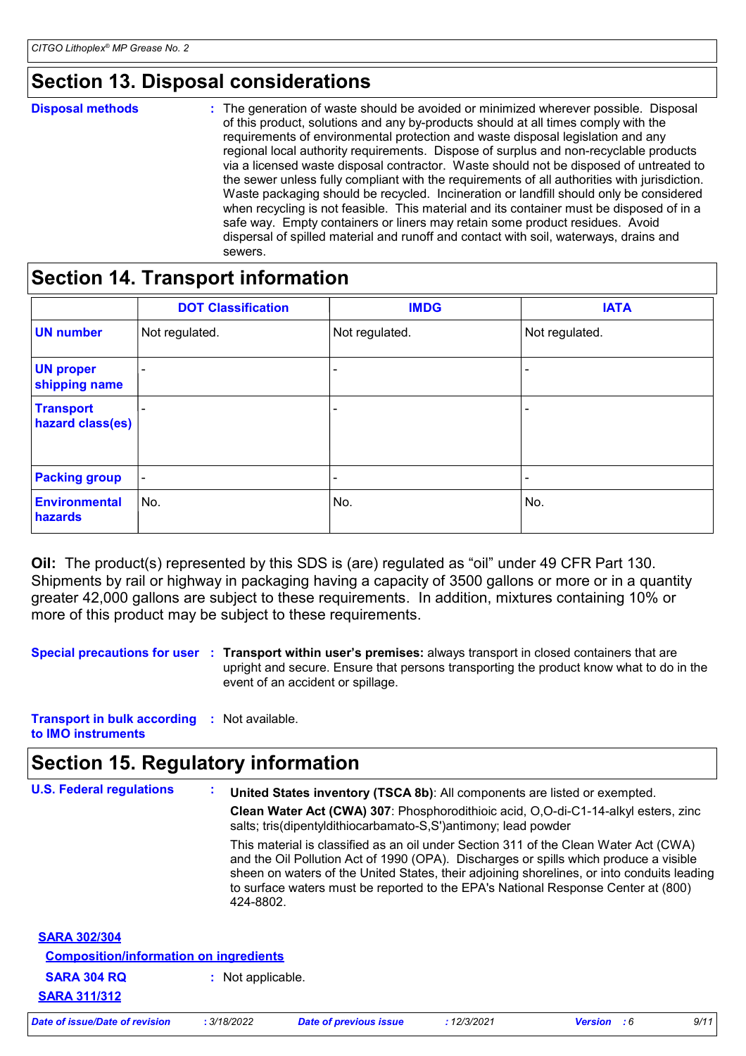## **Section 13. Disposal considerations**

**Disposal methods :**

The generation of waste should be avoided or minimized wherever possible. Disposal of this product, solutions and any by-products should at all times comply with the requirements of environmental protection and waste disposal legislation and any regional local authority requirements. Dispose of surplus and non-recyclable products via a licensed waste disposal contractor. Waste should not be disposed of untreated to the sewer unless fully compliant with the requirements of all authorities with jurisdiction. Waste packaging should be recycled. Incineration or landfill should only be considered when recycling is not feasible. This material and its container must be disposed of in a safe way. Empty containers or liners may retain some product residues. Avoid dispersal of spilled material and runoff and contact with soil, waterways, drains and sewers.

### **Section 14. Transport information**

|                                      | <b>DOT Classification</b> | <b>IMDG</b>    | <b>IATA</b>    |
|--------------------------------------|---------------------------|----------------|----------------|
| <b>UN number</b>                     | Not regulated.            | Not regulated. | Not regulated. |
| <b>UN proper</b><br>shipping name    | $\overline{\phantom{0}}$  |                |                |
| <b>Transport</b><br>hazard class(es) | $\overline{\phantom{0}}$  |                |                |
| <b>Packing group</b>                 | $\blacksquare$            |                |                |
| Environmental<br>hazards             | No.                       | No.            | No.            |

**Oil:** The product(s) represented by this SDS is (are) regulated as "oil" under 49 CFR Part 130. Shipments by rail or highway in packaging having a capacity of 3500 gallons or more or in a quantity greater 42,000 gallons are subject to these requirements. In addition, mixtures containing 10% or more of this product may be subject to these requirements.

**Special precautions for user Transport within user's premises:** always transport in closed containers that are **:** upright and secure. Ensure that persons transporting the product know what to do in the event of an accident or spillage.

**Transport in bulk according :** Not available. **to IMO instruments**

## **Section 15. Regulatory information**

| <b>U.S. Federal regulations</b>               | United States inventory (TSCA 8b): All components are listed or exempted.<br>$\sim$<br>Clean Water Act (CWA) 307: Phosphorodithioic acid, O,O-di-C1-14-alkyl esters, zinc<br>salts; tris(dipentyldithiocarbamato-S,S')antimony; lead powder                                                                                                                                   |  |  |
|-----------------------------------------------|-------------------------------------------------------------------------------------------------------------------------------------------------------------------------------------------------------------------------------------------------------------------------------------------------------------------------------------------------------------------------------|--|--|
|                                               | This material is classified as an oil under Section 311 of the Clean Water Act (CWA)<br>and the Oil Pollution Act of 1990 (OPA). Discharges or spills which produce a visible<br>sheen on waters of the United States, their adjoining shorelines, or into conduits leading<br>to surface waters must be reported to the EPA's National Response Center at (800)<br>424-8802. |  |  |
| <b>SARA 302/304</b>                           |                                                                                                                                                                                                                                                                                                                                                                               |  |  |
| <b>Composition/information on ingredients</b> |                                                                                                                                                                                                                                                                                                                                                                               |  |  |
| <b>SARA 304 RQ</b>                            | : Not applicable.                                                                                                                                                                                                                                                                                                                                                             |  |  |
| <b>SARA 311/312</b>                           |                                                                                                                                                                                                                                                                                                                                                                               |  |  |

*Date of issue/Date of revision* **:** *3/18/2022 Date of previous issue : 12/3/2021 Version : 6 9/11*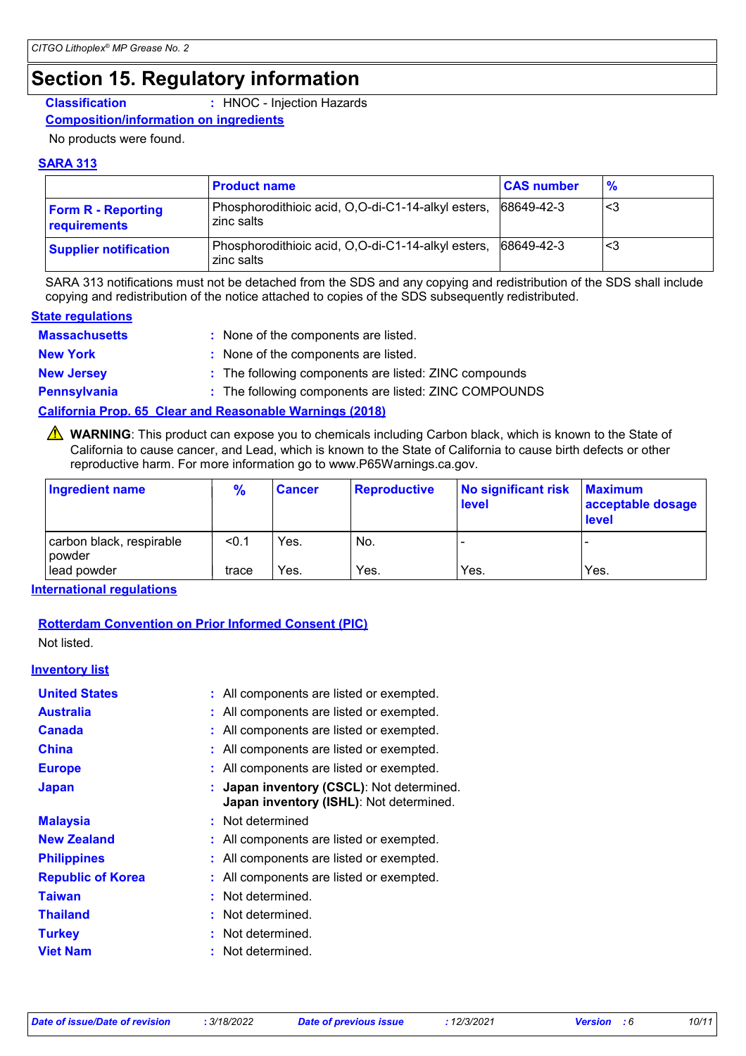## **Section 15. Regulatory information**

**Classification :** HNOC - Injection Hazards

#### **Composition/information on ingredients**

No products were found.

#### **SARA 313**

|                                           | <b>Product name</b>                                              | <b>CAS number</b> | $\frac{9}{6}$ |
|-------------------------------------------|------------------------------------------------------------------|-------------------|---------------|
| <b>Form R - Reporting</b><br>requirements | Phosphorodithioic acid, O,O-di-C1-14-alkyl esters,<br>zinc salts | 68649-42-3        | '<3           |
| <b>Supplier notification</b>              | Phosphorodithioic acid, O,O-di-C1-14-alkyl esters,<br>zinc salts | 68649-42-3        | '<3           |

SARA 313 notifications must not be detached from the SDS and any copying and redistribution of the SDS shall include copying and redistribution of the notice attached to copies of the SDS subsequently redistributed.

#### **State regulations**

| <b>Massachusetts</b> | : None of the components are listed.                            |
|----------------------|-----------------------------------------------------------------|
| <b>New York</b>      | : None of the components are listed.                            |
| <b>New Jersey</b>    | : The following components are listed: ZINC compounds           |
| <b>Pennsylvania</b>  | : The following components are listed: ZINC COMPOUNDS           |
|                      | <b>California Prop. 65 Clear and Reasonable Warnings (2018)</b> |

WARNING: This product can expose you to chemicals including Carbon black, which is known to the State of California to cause cancer, and Lead, which is known to the State of California to cause birth defects or other reproductive harm. For more information go to www.P65Warnings.ca.gov.

| <b>Ingredient name</b>                    | $\frac{9}{6}$ | <b>Cancer</b> | Reproductive | No significant risk<br><b>level</b> | <b>Maximum</b><br>acceptable dosage<br><b>level</b> |
|-------------------------------------------|---------------|---------------|--------------|-------------------------------------|-----------------------------------------------------|
| carbon black, respirable<br><b>powder</b> | < 0.1         | Yes.          | No.          |                                     |                                                     |
| llead powder                              | trace         | Yes.          | Yes.         | Yes.                                | Yes.                                                |

**International regulations**

### **Rotterdam Convention on Prior Informed Consent (PIC)**

Not listed.

### **Inventory list**

| <b>United States</b><br><b>Australia</b><br><b>Canada</b> | : All components are listed or exempted.<br>: All components are listed or exempted.<br>: All components are listed or exempted. |
|-----------------------------------------------------------|----------------------------------------------------------------------------------------------------------------------------------|
| <b>China</b>                                              | : All components are listed or exempted.                                                                                         |
| <b>Europe</b>                                             | : All components are listed or exempted.                                                                                         |
| <b>Japan</b>                                              | : Japan inventory (CSCL): Not determined.<br>Japan inventory (ISHL): Not determined.                                             |
| <b>Malaysia</b>                                           | : Not determined                                                                                                                 |
| <b>New Zealand</b>                                        | : All components are listed or exempted.                                                                                         |
| <b>Philippines</b>                                        | : All components are listed or exempted.                                                                                         |
| <b>Republic of Korea</b>                                  | : All components are listed or exempted.                                                                                         |
| <b>Taiwan</b>                                             | : Not determined.                                                                                                                |
| <b>Thailand</b>                                           | : Not determined.                                                                                                                |
| <b>Turkey</b>                                             | : Not determined.                                                                                                                |
| <b>Viet Nam</b>                                           | Not determined.                                                                                                                  |